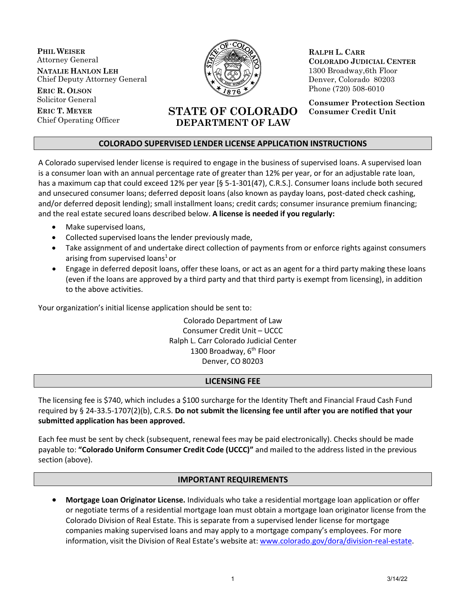**PHIL WEISER** Attorney General **NATALIE HANLON LEH** Chief Deputy Attorney General

**ERIC R. OLSON** Solicitor General

**ERIC T. MEYER** Chief Operating Officer



**RALPH L. CARR COLORADO JUDICIAL CENTER** 1300 Broadway,6th Floor Denver, Colorado 80203 Phone (720) 508-6010

**Consumer Protection Section Consumer Credit Unit**

# **COLORADO SUPERVISED LENDER LICENSE APPLICATION INSTRUCTIONS**

**STATE OF COLORADO DEPARTMENT OF LAW**

A Colorado supervised lender license is required to engage in the business of supervised loans. A supervised loan is a consumer loan with an annual percentage rate of greater than 12% per year, or for an adjustable rate loan, has a maximum cap that could exceed 12% per year [§ 5-1-301(47), C.R.S.]. Consumer loans include both secured and unsecured consumer loans; deferred deposit loans (also known as payday loans, post-dated check cashing, and/or deferred deposit lending); small installment loans; credit cards; consumer insurance premium financing; and the real estate secured loans described below. **A license is needed if you regularly:**

- Make supervised loans,
- Collected supervised loans the lender previously made,
- Take assignment of and undertake direct collection of payments from or enforce rights against consumers arising from supervised loans<sup>1</sup> or
- Engage in deferred deposit loans, offer these loans, or act as an agent for a third party making these loans (even if the loans are approved by a third party and that third party is exempt from licensing), in addition to the above activities.

Your organization's initial license application should be sent to:

Colorado Department of Law Consumer Credit Unit – UCCC Ralph L. Carr Colorado Judicial Center 1300 Broadway, 6<sup>th</sup> Floor Denver, CO 80203

#### **LICENSING FEE**

The licensing fee is \$740, which includes a \$100 surcharge for the Identity Theft and Financial Fraud Cash Fund required by § 24-33.5-1707(2)(b), C.R.S. **Do not submit the licensing fee until after you are notified that your submitted application has been approved.**

Each fee must be sent by check (subsequent, renewal fees may be paid electronically). Checks should be made payable to: **"Colorado Uniform Consumer Credit Code (UCCC)"** and mailed to the address listed in the previous section (above).

## **IMPORTANT REQUIREMENTS**

• **Mortgage Loan Originator License.** Individuals who take a residential mortgage loan application or offer or negotiate terms of a residential mortgage loan must obtain a mortgage loan originator license from the Colorado Division of Real Estate. This is separate from a supervised lender license for mortgage companies making supervised loans and may apply to a mortgage company's employees. For more information, visit the Division of Real Estate's website at: [www.colorado.gov/dora/division-real-estate.](http://www.colorado.gov/dora/division-real-estate)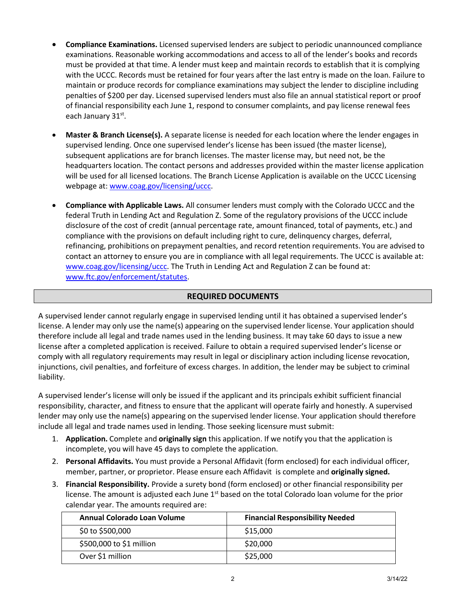- **Compliance Examinations.** Licensed supervised lenders are subject to periodic unannounced compliance examinations. Reasonable working accommodations and access to all of the lender's books and records must be provided at that time. A lender must keep and maintain records to establish that it is complying with the UCCC. Records must be retained for four years after the last entry is made on the loan. Failure to maintain or produce records for compliance examinations may subject the lender to discipline including penalties of \$200 per day. Licensed supervised lenders must also file an annual statistical report or proof of financial responsibility each June 1, respond to consumer complaints, and pay license renewal fees each January 31<sup>st</sup>.
- **Master & Branch License(s).** A separate license is needed for each location where the lender engages in supervised lending. Once one supervised lender's license has been issued (the master license), subsequent applications are for branch licenses. The master license may, but need not, be the headquarters location. The contact persons and addresses provided within the master license application will be used for all licensed locations. The Branch License Application is available on the UCCC Licensing webpage at: [www.coag.gov/licensing/uccc.](http://www.coag.gov/licensing/uccc)
- **Compliance with Applicable Laws.** All consumer lenders must comply with the Colorado UCCC and the federal Truth in Lending Act and Regulation Z. Some of the regulatory provisions of the UCCC include disclosure of the cost of credit (annual percentage rate, amount financed, total of payments, etc.) and compliance with the provisions on default including right to cure, delinquency charges, deferral, refinancing, prohibitions on prepayment penalties, and record retention requirements. You are advised to contact an attorney to ensure you are in compliance with all legal requirements. The UCCC is available at: [www.coag.gov/licensing/uccc. T](http://www.coag.gov/licensing/uccc)he Truth in Lending Act and Regulation Z can be found at: [www.ftc.gov/enforcement/statutes.](http://www.ftc.gov/enforcement/statutes)

#### **REQUIRED DOCUMENTS**

A supervised lender cannot regularly engage in supervised lending until it has obtained a supervised lender's license. A lender may only use the name(s) appearing on the supervised lender license. Your application should therefore include all legal and trade names used in the lending business. It may take 60 days to issue a new license after a completed application is received. Failure to obtain a required supervised lender's license or comply with all regulatory requirements may result in legal or disciplinary action including license revocation, injunctions, civil penalties, and forfeiture of excess charges. In addition, the lender may be subject to criminal liability.

A supervised lender's license will only be issued if the applicant and its principals exhibit sufficient financial responsibility, character, and fitness to ensure that the applicant will operate fairly and honestly. A supervised lender may only use the name(s) appearing on the supervised lender license. Your application should therefore include all legal and trade names used in lending. Those seeking licensure must submit:

- 1. **Application.** Complete and **originally sign** this application. If we notify you that the application is incomplete, you will have 45 days to complete the application.
- 2. **Personal Affidavits.** You must provide a Personal Affidavit (form enclosed) for each individual officer, member, partner, or proprietor. Please ensure each Affidavit is complete and **originally signed.**
- 3. **Financial Responsibility.** Provide a surety bond (form enclosed) or other financial responsibility per license. The amount is adjusted each June 1<sup>st</sup> based on the total Colorado loan volume for the prior calendar year. The amounts required are:

| Annual Colorado Loan Volume | <b>Financial Responsibility Needed</b> |
|-----------------------------|----------------------------------------|
| \$0 to \$500,000            | \$15,000                               |
| \$500,000 to \$1 million    | \$20,000                               |
| Over \$1 million            | \$25,000                               |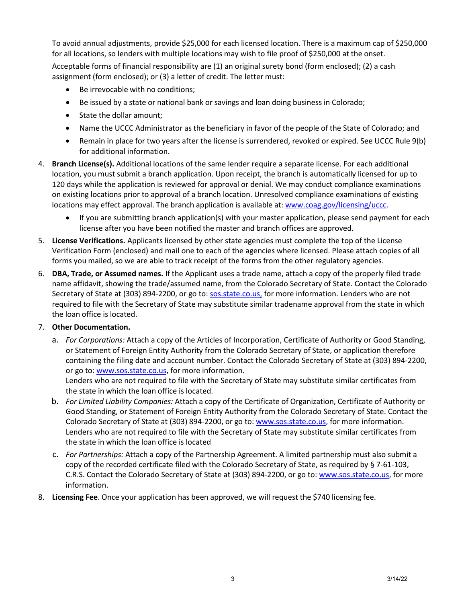To avoid annual adjustments, provide \$25,000 for each licensed location. There is a maximum cap of \$250,000 for all locations, so lenders with multiple locations may wish to file proof of \$250,000 at the onset.

Acceptable forms of financial responsibility are (1) an original surety bond (form enclosed); (2) a cash assignment (form enclosed); or (3) a letter of credit. The letter must:

- Be irrevocable with no conditions;
- Be issued by a state or national bank or savings and loan doing business in Colorado;
- State the dollar amount;
- Name the UCCC Administrator as the beneficiary in favor of the people of the State of Colorado; and
- Remain in place for two years after the license is surrendered, revoked or expired. See UCCC Rule 9(b) for additional information.
- 4. **Branch License(s).** Additional locations of the same lender require a separate license. For each additional location, you must submit a branch application. Upon receipt, the branch is automatically licensed for up to 120 days while the application is reviewed for approval or denial. We may conduct compliance examinations on existing locations prior to approval of a branch location. Unresolved compliance examinations of existing locations may effect approval. The branch application is available at: [www.coag.gov/licensing/uccc.](http://www.coag.gov/licensing/uccc)
	- If you are submitting branch application(s) with your master application, please send payment for each license after you have been notified the master and branch offices are approved.
- 5. **License Verifications.** Applicants licensed by other state agencies must complete the top of the License Verification Form (enclosed) and mail one to each of the agencies where licensed. Please attach copies of all forms you mailed, so we are able to track receipt of the forms from the other regulatory agencies.
- 6. **DBA, Trade, or Assumed names.** If the Applicant uses a trade name, attach a copy of the properly filed trade name affidavit, showing the trade/assumed name, from the Colorado Secretary of State. Contact the Colorado Secretary of State at (303) 894-2200, or go to: sos.state.co.us, for more information. Lenders who are not required to file with the Secretary of State may substitute similar tradename approval from the state in which the loan office is located.

## 7. **Other Documentation.**

a. *For Corporations:* Attach a copy of the Articles of Incorporation, Certificate of Authority or Good Standing, or Statement of Foreign Entity Authority from the Colorado Secretary of State, or application therefore containing the filing date and account number. Contact the Colorado Secretary of State at (303) 894-2200, or go to: [www.sos.state.co.us,](http://www.sos.state.co.us/) for more information.

Lenders who are not required to file with the Secretary of State may substitute similar certificates from the state in which the loan office is located.

- b. *For Limited Liability Companies:* Attach a copy of the Certificate of Organization, Certificate of Authority or Good Standing, or Statement of Foreign Entity Authority from the Colorado Secretary of State. Contact the Colorado Secretary of State at (303) 894-2200, or go to: [www.sos.state.co.us,](http://www.sos.state.co.us/) for more information. Lenders who are not required to file with the Secretary of State may substitute similar certificates from the state in which the loan office is located
- c. *For Partnerships:* Attach a copy of the Partnership Agreement. A limited partnership must also submit a copy of the recorded certificate filed with the Colorado Secretary of State, as required by § 7-61-103, C.R.S. Contact the Colorado Secretary of State at (303) 894-2200, or go to: [www.sos.state.co.us, f](http://www.sos.state.co.us/)or more information.
- 8. **Licensing Fee**. Once your application has been approved, we will request the \$740 licensing fee.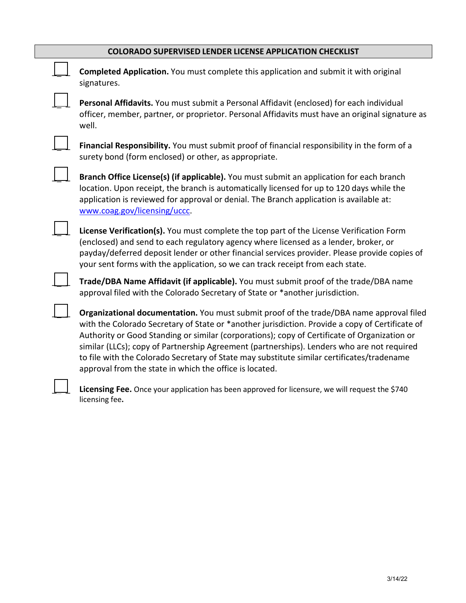| Completed Application. You must complete this application and submit it with original<br>signatures.                                                                                                                                                                                                                                                                                                                                                                                                                                               |
|----------------------------------------------------------------------------------------------------------------------------------------------------------------------------------------------------------------------------------------------------------------------------------------------------------------------------------------------------------------------------------------------------------------------------------------------------------------------------------------------------------------------------------------------------|
| Personal Affidavits. You must submit a Personal Affidavit (enclosed) for each individual<br>officer, member, partner, or proprietor. Personal Affidavits must have an original signature as<br>well.                                                                                                                                                                                                                                                                                                                                               |
| Financial Responsibility. You must submit proof of financial responsibility in the form of a<br>surety bond (form enclosed) or other, as appropriate.                                                                                                                                                                                                                                                                                                                                                                                              |
| Branch Office License(s) (if applicable). You must submit an application for each branch<br>location. Upon receipt, the branch is automatically licensed for up to 120 days while the<br>application is reviewed for approval or denial. The Branch application is available at:<br>www.coag.gov/licensing/uccc.                                                                                                                                                                                                                                   |
| License Verification(s). You must complete the top part of the License Verification Form<br>(enclosed) and send to each regulatory agency where licensed as a lender, broker, or<br>payday/deferred deposit lender or other financial services provider. Please provide copies of<br>your sent forms with the application, so we can track receipt from each state.                                                                                                                                                                                |
| Trade/DBA Name Affidavit (if applicable). You must submit proof of the trade/DBA name<br>approval filed with the Colorado Secretary of State or *another jurisdiction.                                                                                                                                                                                                                                                                                                                                                                             |
| Organizational documentation. You must submit proof of the trade/DBA name approval filed<br>with the Colorado Secretary of State or *another jurisdiction. Provide a copy of Certificate of<br>Authority or Good Standing or similar (corporations); copy of Certificate of Organization or<br>similar (LLCs); copy of Partnership Agreement (partnerships). Lenders who are not required<br>to file with the Colorado Secretary of State may substitute similar certificates/tradename<br>approval from the state in which the office is located. |

Licensing Fee. Once your application has been approved for licensure, we will request the \$740 licensing fee**.**

\_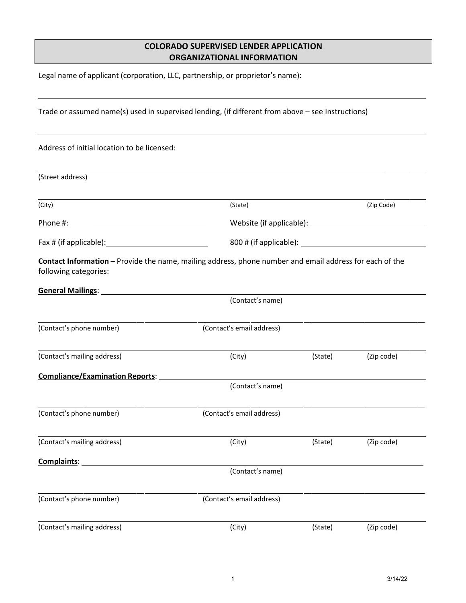# **COLORADO SUPERVISED LENDER APPLICATION ORGANIZATIONAL INFORMATION**

Legal name of applicant (corporation, LLC, partnership, or proprietor's name):

| Trade or assumed name(s) used in supervised lending, (if different from above - see Instructions)                                  |                                                                                                         |         |            |  |
|------------------------------------------------------------------------------------------------------------------------------------|---------------------------------------------------------------------------------------------------------|---------|------------|--|
| Address of initial location to be licensed:                                                                                        |                                                                                                         |         |            |  |
| (Street address)                                                                                                                   |                                                                                                         |         |            |  |
| (City)                                                                                                                             | (State)                                                                                                 |         | (Zip Code) |  |
| Phone #:<br><u> 1989 - Johann Barn, mars ann an t-Amhain ann an t-Amhain an t-Amhain an t-Amhain an t-Amhain an t-Amhain an t-</u> |                                                                                                         |         |            |  |
|                                                                                                                                    |                                                                                                         |         |            |  |
| following categories:                                                                                                              | Contact Information - Provide the name, mailing address, phone number and email address for each of the |         |            |  |
|                                                                                                                                    | (Contact's name)                                                                                        |         |            |  |
| (Contact's phone number)                                                                                                           | (Contact's email address)                                                                               |         |            |  |
| (Contact's mailing address)                                                                                                        | (City)                                                                                                  | (State) | (Zip code) |  |
| <b>Compliance/Examination Reports:</b>                                                                                             |                                                                                                         |         |            |  |
|                                                                                                                                    | (Contact's name)                                                                                        |         |            |  |
| (Contact's phone number)                                                                                                           | (Contact's email address)                                                                               |         |            |  |
|                                                                                                                                    | (Contact's mailing address) (City) (City) (State) (State) (Zip code)                                    |         |            |  |
| Complaints:                                                                                                                        |                                                                                                         |         |            |  |
|                                                                                                                                    | (Contact's name)                                                                                        |         |            |  |
| (Contact's phone number)                                                                                                           | (Contact's email address)                                                                               |         |            |  |
| (Contact's mailing address)                                                                                                        | (City)                                                                                                  | (State) | (Zip code) |  |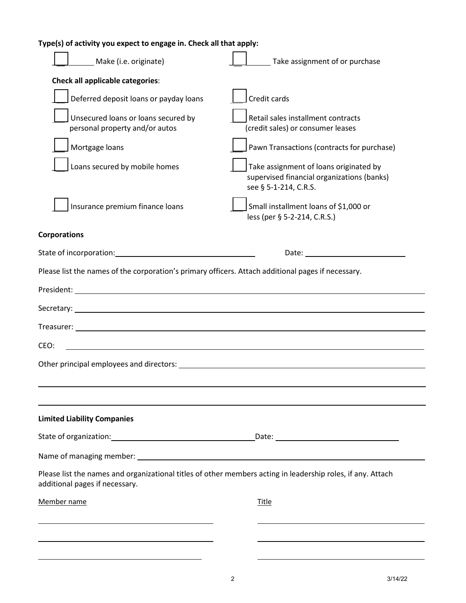| Type(s) of activity you expect to engage in. Check all that apply:                                                                                                                                                            |                                                                                                                                                                                                                               |
|-------------------------------------------------------------------------------------------------------------------------------------------------------------------------------------------------------------------------------|-------------------------------------------------------------------------------------------------------------------------------------------------------------------------------------------------------------------------------|
| Make (i.e. originate)                                                                                                                                                                                                         | Take assignment of or purchase                                                                                                                                                                                                |
| Check all applicable categories:                                                                                                                                                                                              |                                                                                                                                                                                                                               |
| Deferred deposit loans or payday loans                                                                                                                                                                                        | Credit cards                                                                                                                                                                                                                  |
| Unsecured loans or loans secured by<br>personal property and/or autos                                                                                                                                                         | Retail sales installment contracts<br>(credit sales) or consumer leases                                                                                                                                                       |
| Mortgage loans                                                                                                                                                                                                                | Pawn Transactions (contracts for purchase)                                                                                                                                                                                    |
| Loans secured by mobile homes                                                                                                                                                                                                 | Take assignment of loans originated by<br>supervised financial organizations (banks)<br>see § 5-1-214, C.R.S.                                                                                                                 |
| Insurance premium finance loans                                                                                                                                                                                               | Small installment loans of \$1,000 or<br>less (per § 5-2-214, C.R.S.)                                                                                                                                                         |
| <b>Corporations</b>                                                                                                                                                                                                           |                                                                                                                                                                                                                               |
| State of incorporation: State of incorporation:                                                                                                                                                                               | Date: and the contract of the contract of the contract of the contract of the contract of the contract of the contract of the contract of the contract of the contract of the contract of the contract of the contract of the |
| Please list the names of the corporation's primary officers. Attach additional pages if necessary.                                                                                                                            |                                                                                                                                                                                                                               |
|                                                                                                                                                                                                                               |                                                                                                                                                                                                                               |
| Secretary: <u>contract and contract and contract and contract and contract and contract and contract of the secretary:</u>                                                                                                    |                                                                                                                                                                                                                               |
|                                                                                                                                                                                                                               |                                                                                                                                                                                                                               |
| <u> 1980 - Johann Barbara, martxa amerikan bashkar (</u><br>CEO:                                                                                                                                                              |                                                                                                                                                                                                                               |
| Other principal employees and directors:                                                                                                                                                                                      |                                                                                                                                                                                                                               |
|                                                                                                                                                                                                                               |                                                                                                                                                                                                                               |
| the control of the control of the control of the control of the control of the control of the control of the control of the control of the control of the control of the control of the control of the control of the control |                                                                                                                                                                                                                               |
| <b>Limited Liability Companies</b>                                                                                                                                                                                            |                                                                                                                                                                                                                               |
|                                                                                                                                                                                                                               |                                                                                                                                                                                                                               |
|                                                                                                                                                                                                                               |                                                                                                                                                                                                                               |
| Please list the names and organizational titles of other members acting in leadership roles, if any. Attach<br>additional pages if necessary.                                                                                 |                                                                                                                                                                                                                               |
| Member name                                                                                                                                                                                                                   | <b>Title</b>                                                                                                                                                                                                                  |
|                                                                                                                                                                                                                               |                                                                                                                                                                                                                               |
| <u> 1989 - Johann Barn, amerikansk politiker (* 1908)</u>                                                                                                                                                                     |                                                                                                                                                                                                                               |
|                                                                                                                                                                                                                               |                                                                                                                                                                                                                               |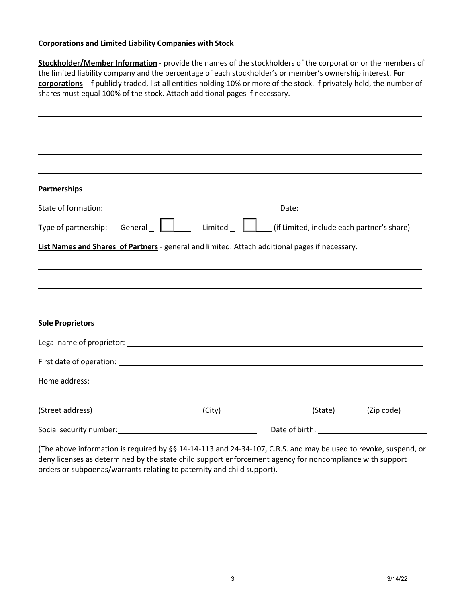#### **Corporations and Limited Liability Companies with Stock**

**Stockholder/Member Information** - provide the names of the stockholders of the corporation or the members of the limited liability company and the percentage of each stockholder's or member's ownership interest. **For corporations** - if publicly traded, list all entities holding 10% or more of the stock. If privately held, the number of shares must equal 100% of the stock. Attach additional pages if necessary.

| <b>Partnerships</b>                                                                            |        |         |            |
|------------------------------------------------------------------------------------------------|--------|---------|------------|
|                                                                                                |        |         |            |
| Type of partnership: General $\Box$ Limited $\Box$ (if Limited, include each partner's share)  |        |         |            |
| List Names and Shares of Partners - general and limited. Attach additional pages if necessary. |        |         |            |
|                                                                                                |        |         |            |
|                                                                                                |        |         |            |
|                                                                                                |        |         |            |
|                                                                                                |        |         |            |
|                                                                                                |        |         |            |
|                                                                                                |        |         |            |
|                                                                                                |        |         |            |
|                                                                                                |        |         |            |
|                                                                                                |        |         |            |
| <b>Sole Proprietors</b><br>Home address:<br>(Street address)                                   | (City) | (State) | (Zip code) |

(The above information is required by §§ 14-14-113 and 24-34-107, C.R.S. and may be used to revoke, suspend, or deny licenses as determined by the state child support enforcement agency for noncompliance with support orders or subpoenas/warrants relating to paternity and child support).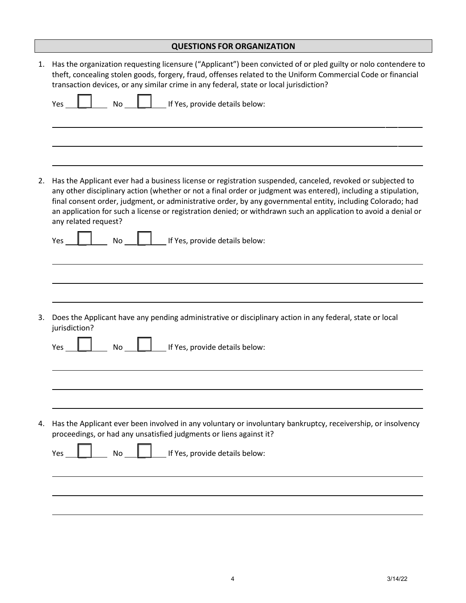|    | <b>QUESTIONS FOR ORGANIZATION</b>                                                                                                                                                                                                                                                                                                                                                                                                                                                      |
|----|----------------------------------------------------------------------------------------------------------------------------------------------------------------------------------------------------------------------------------------------------------------------------------------------------------------------------------------------------------------------------------------------------------------------------------------------------------------------------------------|
| 1. | Has the organization requesting licensure ("Applicant") been convicted of or pled guilty or nolo contendere to<br>theft, concealing stolen goods, forgery, fraud, offenses related to the Uniform Commercial Code or financial<br>transaction devices, or any similar crime in any federal, state or local jurisdiction?                                                                                                                                                               |
|    | If Yes, provide details below:<br>Yes<br>No                                                                                                                                                                                                                                                                                                                                                                                                                                            |
|    |                                                                                                                                                                                                                                                                                                                                                                                                                                                                                        |
| 2. | Has the Applicant ever had a business license or registration suspended, canceled, revoked or subjected to<br>any other disciplinary action (whether or not a final order or judgment was entered), including a stipulation,<br>final consent order, judgment, or administrative order, by any governmental entity, including Colorado; had<br>an application for such a license or registration denied; or withdrawn such an application to avoid a denial or<br>any related request? |
|    | If Yes, provide details below:<br>Yes<br>No                                                                                                                                                                                                                                                                                                                                                                                                                                            |
|    |                                                                                                                                                                                                                                                                                                                                                                                                                                                                                        |
| 3. | Does the Applicant have any pending administrative or disciplinary action in any federal, state or local<br>jurisdiction?                                                                                                                                                                                                                                                                                                                                                              |
|    | If Yes, provide details below:<br><b>No</b><br>Yes                                                                                                                                                                                                                                                                                                                                                                                                                                     |
|    |                                                                                                                                                                                                                                                                                                                                                                                                                                                                                        |
| 4. | Has the Applicant ever been involved in any voluntary or involuntary bankruptcy, receivership, or insolvency<br>proceedings, or had any unsatisfied judgments or liens against it?                                                                                                                                                                                                                                                                                                     |
|    | If Yes, provide details below:<br><b>No</b><br>Yes                                                                                                                                                                                                                                                                                                                                                                                                                                     |
|    |                                                                                                                                                                                                                                                                                                                                                                                                                                                                                        |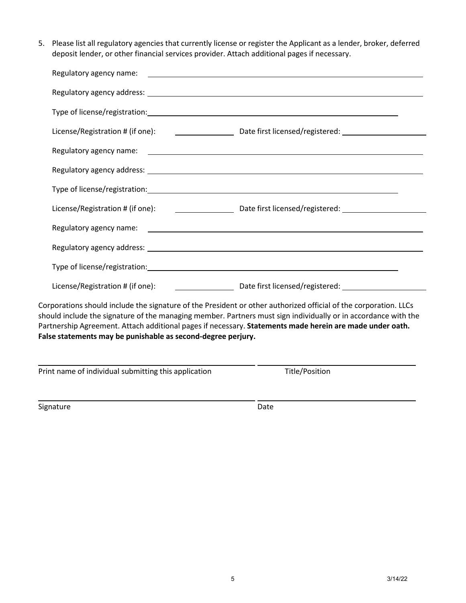5. Please list all regulatory agencies that currently license or register the Applicant as a lender, broker, deferred deposit lender, or other financial services provider. Attach additional pages if necessary.

| License/Registration # (if one): 100 million contract to Date first licensed/registered: 200 million contract to Date first licensed/registered:                                                                                   |
|------------------------------------------------------------------------------------------------------------------------------------------------------------------------------------------------------------------------------------|
| Corporations should include the signature of the President or other authorized official of the corporation. LLCs<br>chould include the cignature of the managing member. Partners must sign individually as in accordance with the |

should include the signature of the managing member. Partners must sign individually or in accordance with the Partnership Agreement. Attach additional pages if necessary. **Statements made herein are made under oath. False statements may be punishable as second-degree perjury.**

Print name of individual submitting this application Title/Position

Signature Date Date Date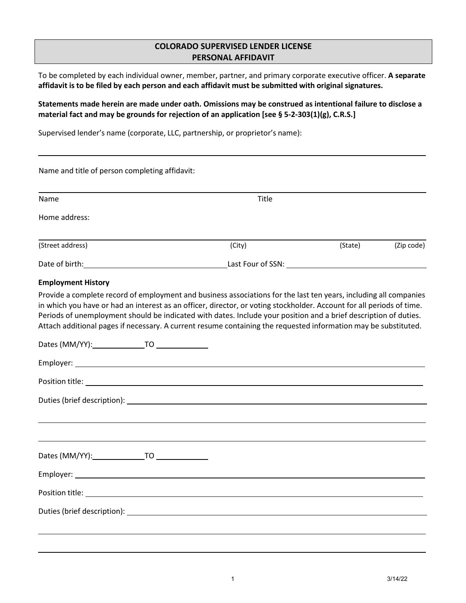## **COLORADO SUPERVISED LENDER LICENSE PERSONAL AFFIDAVIT**

To be completed by each individual owner, member, partner, and primary corporate executive officer. **A separate affidavit is to be filed by each person and each affidavit must be submitted with original signatures.**

**Statements made herein are made under oath. Omissions may be construed as intentional failure to disclose a material fact and may be grounds for rejection of an application [see § 5-2-303(1)(g), C.R.S.]**

Supervised lender's name (corporate, LLC, partnership, or proprietor's name):

| Name and title of person completing affidavit:                                                                                                                                                                                       |                                                                                                                                                                                                                                                                                                                                                                                                                                                                                   |         |            |
|--------------------------------------------------------------------------------------------------------------------------------------------------------------------------------------------------------------------------------------|-----------------------------------------------------------------------------------------------------------------------------------------------------------------------------------------------------------------------------------------------------------------------------------------------------------------------------------------------------------------------------------------------------------------------------------------------------------------------------------|---------|------------|
| Name                                                                                                                                                                                                                                 | Title                                                                                                                                                                                                                                                                                                                                                                                                                                                                             |         |            |
| Home address:                                                                                                                                                                                                                        |                                                                                                                                                                                                                                                                                                                                                                                                                                                                                   |         |            |
| (Street address)                                                                                                                                                                                                                     | (City)                                                                                                                                                                                                                                                                                                                                                                                                                                                                            | (State) | (Zip code) |
|                                                                                                                                                                                                                                      | Last Four of SSN: New York Canada and Separate Canada and Separate Canada and Separate Canada and Separate Canada and Separate Canada and Separate Canada and Separate Canada and Separate Canada and Separate Canada and Sepa                                                                                                                                                                                                                                                    |         |            |
| <b>Employment History</b>                                                                                                                                                                                                            |                                                                                                                                                                                                                                                                                                                                                                                                                                                                                   |         |            |
|                                                                                                                                                                                                                                      | Provide a complete record of employment and business associations for the last ten years, including all companies<br>in which you have or had an interest as an officer, director, or voting stockholder. Account for all periods of time.<br>Periods of unemployment should be indicated with dates. Include your position and a brief description of duties.<br>Attach additional pages if necessary. A current resume containing the requested information may be substituted. |         |            |
|                                                                                                                                                                                                                                      |                                                                                                                                                                                                                                                                                                                                                                                                                                                                                   |         |            |
|                                                                                                                                                                                                                                      |                                                                                                                                                                                                                                                                                                                                                                                                                                                                                   |         |            |
|                                                                                                                                                                                                                                      |                                                                                                                                                                                                                                                                                                                                                                                                                                                                                   |         |            |
|                                                                                                                                                                                                                                      |                                                                                                                                                                                                                                                                                                                                                                                                                                                                                   |         |            |
|                                                                                                                                                                                                                                      |                                                                                                                                                                                                                                                                                                                                                                                                                                                                                   |         |            |
|                                                                                                                                                                                                                                      |                                                                                                                                                                                                                                                                                                                                                                                                                                                                                   |         |            |
|                                                                                                                                                                                                                                      |                                                                                                                                                                                                                                                                                                                                                                                                                                                                                   |         |            |
| Position title: <u>example and the set of the set of the set of the set of the set of the set of the set of the set of the set of the set of the set of the set of the set of the set of the set of the set of the set of the se</u> |                                                                                                                                                                                                                                                                                                                                                                                                                                                                                   |         |            |
|                                                                                                                                                                                                                                      |                                                                                                                                                                                                                                                                                                                                                                                                                                                                                   |         |            |
|                                                                                                                                                                                                                                      |                                                                                                                                                                                                                                                                                                                                                                                                                                                                                   |         |            |
|                                                                                                                                                                                                                                      |                                                                                                                                                                                                                                                                                                                                                                                                                                                                                   |         |            |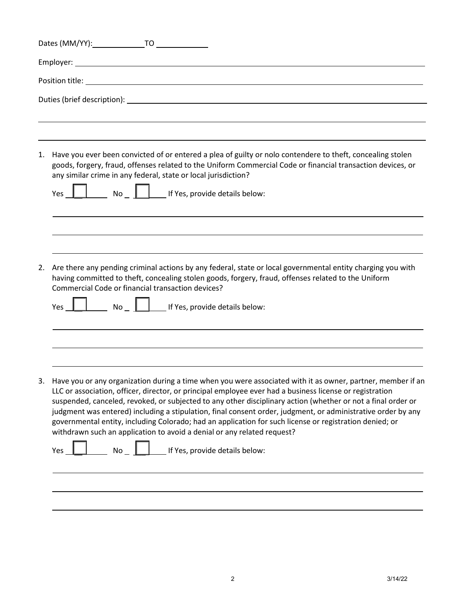| 1. | Have you ever been convicted of or entered a plea of guilty or nolo contendere to theft, concealing stolen<br>goods, forgery, fraud, offenses related to the Uniform Commercial Code or financial transaction devices, or<br>any similar crime in any federal, state or local jurisdiction?<br>Yes                                                                                                                                                                                                                                                                                                                                            |
|----|-----------------------------------------------------------------------------------------------------------------------------------------------------------------------------------------------------------------------------------------------------------------------------------------------------------------------------------------------------------------------------------------------------------------------------------------------------------------------------------------------------------------------------------------------------------------------------------------------------------------------------------------------|
|    |                                                                                                                                                                                                                                                                                                                                                                                                                                                                                                                                                                                                                                               |
| 2. | Are there any pending criminal actions by any federal, state or local governmental entity charging you with<br>having committed to theft, concealing stolen goods, forgery, fraud, offenses related to the Uniform<br>Commercial Code or financial transaction devices?<br>$\Box$ No $\Box$ If Yes, provide details below:<br>Yes                                                                                                                                                                                                                                                                                                             |
|    |                                                                                                                                                                                                                                                                                                                                                                                                                                                                                                                                                                                                                                               |
|    |                                                                                                                                                                                                                                                                                                                                                                                                                                                                                                                                                                                                                                               |
| 3. | Have you or any organization during a time when you were associated with it as owner, partner, member if an<br>LLC or association, officer, director, or principal employee ever had a business license or registration<br>suspended, canceled, revoked, or subjected to any other disciplinary action (whether or not a final order or<br>judgment was entered) including a stipulation, final consent order, judgment, or administrative order by any<br>governmental entity, including Colorado; had an application for such license or registration denied; or<br>withdrawn such an application to avoid a denial or any related request? |
|    | If Yes, provide details below:<br><b>No</b><br>Yes                                                                                                                                                                                                                                                                                                                                                                                                                                                                                                                                                                                            |
|    |                                                                                                                                                                                                                                                                                                                                                                                                                                                                                                                                                                                                                                               |
|    |                                                                                                                                                                                                                                                                                                                                                                                                                                                                                                                                                                                                                                               |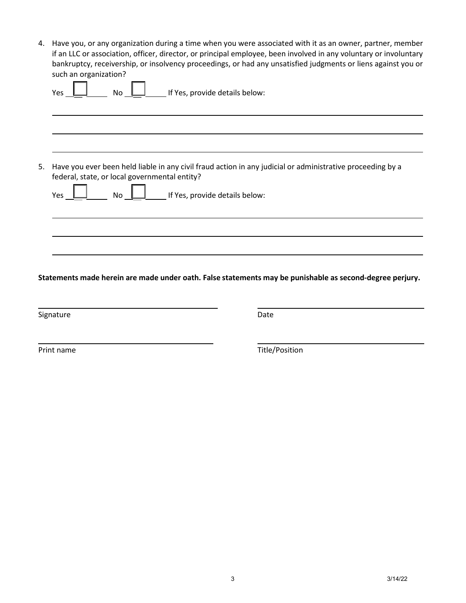4. Have you, or any organization during a time when you were associated with it as an owner, partner, member if an LLC or association, officer, director, or principal employee, been involved in any voluntary or involuntary bankruptcy, receivership, or insolvency proceedings, or had any unsatisfied judgments or liens against you or such an organization?

| Yes |                                               | No   | If Yes, provide details below: |                                                                                                            |  |
|-----|-----------------------------------------------|------|--------------------------------|------------------------------------------------------------------------------------------------------------|--|
|     |                                               |      |                                |                                                                                                            |  |
| Yes | federal, state, or local governmental entity? | No l | If Yes, provide details below: | Have you ever been held liable in any civil fraud action in any judicial or administrative proceeding by a |  |
|     |                                               |      |                                |                                                                                                            |  |

Signature Date Date Date Date Date

Print name Title/Position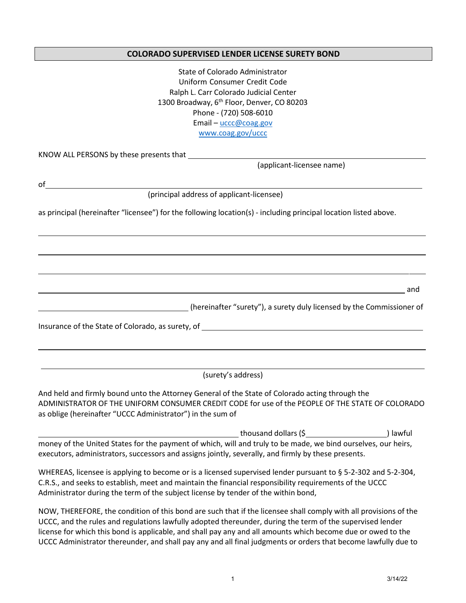### **COLORADO SUPERVISED LENDER LICENSE SURETY BOND**

| State of Colorado Administrator                                                                                                    |
|------------------------------------------------------------------------------------------------------------------------------------|
| Uniform Consumer Credit Code                                                                                                       |
| Ralph L. Carr Colorado Judicial Center<br>1300 Broadway, 6 <sup>th</sup> Floor, Denver, CO 80203                                   |
| Phone - (720) 508-6010                                                                                                             |
| Email - uccc@coag.gov                                                                                                              |
| www.coag.gov/uccc                                                                                                                  |
|                                                                                                                                    |
|                                                                                                                                    |
| (applicant-licensee name)                                                                                                          |
| of                                                                                                                                 |
| (principal address of applicant-licensee)                                                                                          |
|                                                                                                                                    |
| as principal (hereinafter "licensee") for the following location(s) - including principal location listed above.                   |
|                                                                                                                                    |
|                                                                                                                                    |
|                                                                                                                                    |
|                                                                                                                                    |
|                                                                                                                                    |
| and<br><u> 1989 - Johann Stoff, amerikansk politiker (d. 1989)</u>                                                                 |
|                                                                                                                                    |
| (hereinafter "surety"), a surety duly licensed by the Commissioner of<br><u> 1989 - Johann Barnett, fransk politiker (d. 1989)</u> |
|                                                                                                                                    |
|                                                                                                                                    |
|                                                                                                                                    |
|                                                                                                                                    |
| (surety's address)                                                                                                                 |
|                                                                                                                                    |
| And held and firmly bound unto the Attorney General of the State of Colorado acting through the                                    |
| ADMINISTRATOR OF THE UNIFORM CONSUMER CREDIT CODE for use of the PEOPLE OF THE STATE OF COLORADO                                   |
| as oblige (hereinafter "UCCC Administrator") in the sum of                                                                         |
| thousand dollars (\$<br>) lawful                                                                                                   |
| money of the United States for the payment of which, will and truly to be made, we bind ourselves, our heirs,                      |
| executors, administrators, successors and assigns jointly, severally, and firmly by these presents.                                |
| WHEREAS, licensee is applying to become or is a licensed supervised lender pursuant to § 5-2-302 and 5-2-304,                      |
| C.R.S., and seeks to establish, meet and maintain the financial responsibility requirements of the UCCC                            |
| Administrator during the term of the subject license by tender of the within bond,                                                 |
|                                                                                                                                    |
| NOW, THEREFORE, the condition of this bond are such that if the licensee shall comply with all provisions of the                   |
| UCCC, and the rules and regulations lawfully adopted thereunder, during the term of the supervised lender                          |
| license for which this bond is applicable, and shall pay any and all amounts which become due or owed to the                       |
| UCCC Administrator thereunder, and shall pay any and all final judgments or orders that become lawfully due to                     |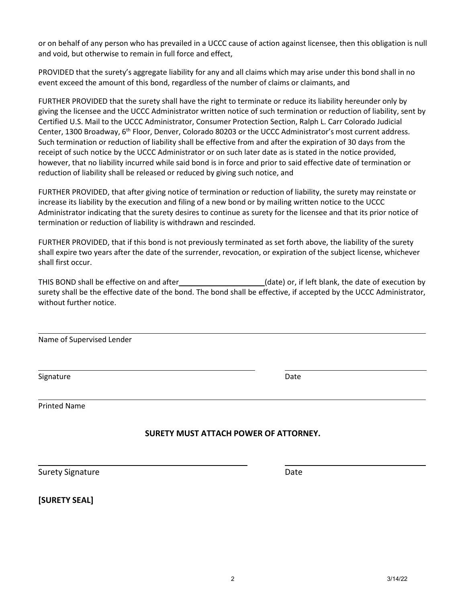or on behalf of any person who has prevailed in a UCCC cause of action against licensee, then this obligation is null and void, but otherwise to remain in full force and effect,

PROVIDED that the surety's aggregate liability for any and all claims which may arise under this bond shall in no event exceed the amount of this bond, regardless of the number of claims or claimants, and

FURTHER PROVIDED that the surety shall have the right to terminate or reduce its liability hereunder only by giving the licensee and the UCCC Administrator written notice of such termination or reduction of liability, sent by Certified U.S. Mail to the UCCC Administrator, Consumer Protection Section, Ralph L. Carr Colorado Judicial Center, 1300 Broadway, 6th Floor, Denver, Colorado 80203 or the UCCC Administrator's most current address. Such termination or reduction of liability shall be effective from and after the expiration of 30 days from the receipt of such notice by the UCCC Administrator or on such later date as is stated in the notice provided, however, that no liability incurred while said bond is in force and prior to said effective date of termination or reduction of liability shall be released or reduced by giving such notice, and

FURTHER PROVIDED, that after giving notice of termination or reduction of liability, the surety may reinstate or increase its liability by the execution and filing of a new bond or by mailing written notice to the UCCC Administrator indicating that the surety desires to continue as surety for the licensee and that its prior notice of termination or reduction of liability is withdrawn and rescinded.

FURTHER PROVIDED, that if this bond is not previously terminated as set forth above, the liability of the surety shall expire two years after the date of the surrender, revocation, or expiration of the subject license, whichever shall first occur.

THIS BOND shall be effective on and after (date) or, if left blank, the date of execution by surety shall be the effective date of the bond. The bond shall be effective, if accepted by the UCCC Administrator, without further notice.

Name of Supervised Lender

Signature Date

Printed Name

## **SURETY MUST ATTACH POWER OF ATTORNEY.**

Surety Signature Date Date Date

**[SURETY SEAL]**